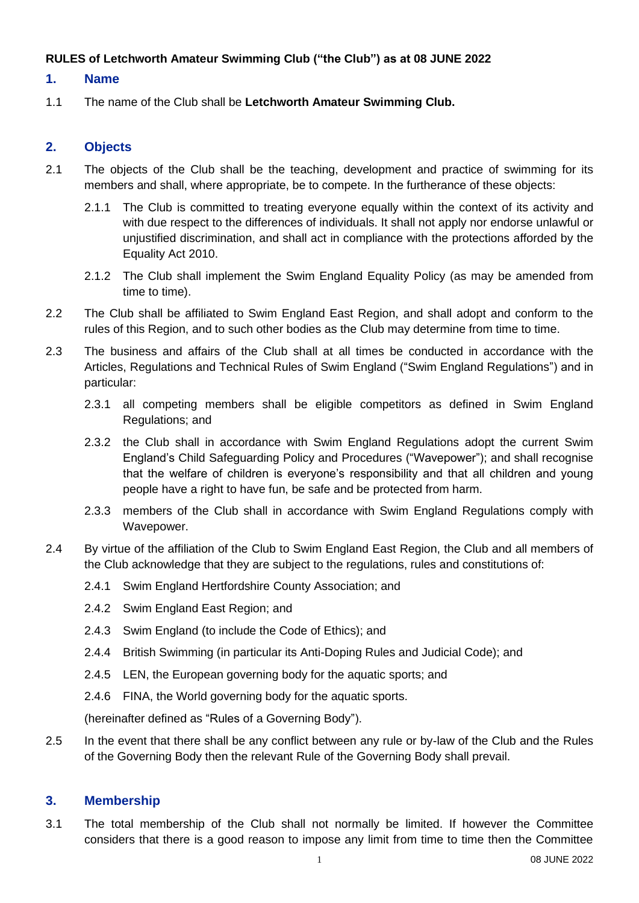#### **RULES of Letchworth Amateur Swimming Club ("the Club") as at 08 JUNE 2022**

#### **1. Name**

1.1 The name of the Club shall be **Letchworth Amateur Swimming Club.**

# **2. Objects**

- 2.1 The objects of the Club shall be the teaching, development and practice of swimming for its members and shall, where appropriate, be to compete. In the furtherance of these objects:
	- 2.1.1 The Club is committed to treating everyone equally within the context of its activity and with due respect to the differences of individuals. It shall not apply nor endorse unlawful or unjustified discrimination, and shall act in compliance with the protections afforded by the Equality Act 2010.
	- 2.1.2 The Club shall implement the Swim England Equality Policy (as may be amended from time to time).
- 2.2 The Club shall be affiliated to Swim England East Region, and shall adopt and conform to the rules of this Region, and to such other bodies as the Club may determine from time to time.
- 2.3 The business and affairs of the Club shall at all times be conducted in accordance with the Articles, Regulations and Technical Rules of Swim England ("Swim England Regulations") and in particular:
	- 2.3.1 all competing members shall be eligible competitors as defined in Swim England Regulations; and
	- 2.3.2 the Club shall in accordance with Swim England Regulations adopt the current Swim England's Child Safeguarding Policy and Procedures ("Wavepower"); and shall recognise that the welfare of children is everyone's responsibility and that all children and young people have a right to have fun, be safe and be protected from harm.
	- 2.3.3 members of the Club shall in accordance with Swim England Regulations comply with Wavepower.
- 2.4 By virtue of the affiliation of the Club to Swim England East Region, the Club and all members of the Club acknowledge that they are subject to the regulations, rules and constitutions of:
	- 2.4.1 Swim England Hertfordshire County Association; and
	- 2.4.2 Swim England East Region; and
	- 2.4.3 Swim England (to include the Code of Ethics); and
	- 2.4.4 British Swimming (in particular its Anti-Doping Rules and Judicial Code); and
	- 2.4.5 LEN, the European governing body for the aquatic sports; and
	- 2.4.6 FINA, the World governing body for the aquatic sports.

(hereinafter defined as "Rules of a Governing Body").

2.5 In the event that there shall be any conflict between any rule or by-law of the Club and the Rules of the Governing Body then the relevant Rule of the Governing Body shall prevail.

## **3. Membership**

3.1 The total membership of the Club shall not normally be limited. If however the Committee considers that there is a good reason to impose any limit from time to time then the Committee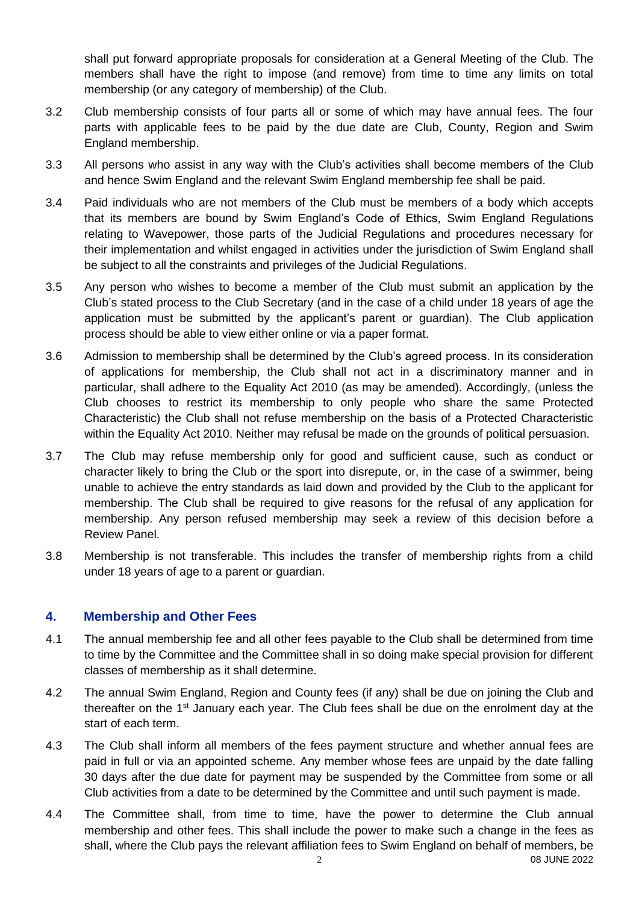shall put forward appropriate proposals for consideration at a General Meeting of the Club. The members shall have the right to impose (and remove) from time to time any limits on total membership (or any category of membership) of the Club.

- 3.2 Club membership consists of four parts all or some of which may have annual fees. The four parts with applicable fees to be paid by the due date are Club, County, Region and Swim England membership.
- 3.3 All persons who assist in any way with the Club's activities shall become members of the Club and hence Swim England and the relevant Swim England membership fee shall be paid.
- 3.4 Paid individuals who are not members of the Club must be members of a body which accepts that its members are bound by Swim England's Code of Ethics, Swim England Regulations relating to Wavepower, those parts of the Judicial Regulations and procedures necessary for their implementation and whilst engaged in activities under the jurisdiction of Swim England shall be subject to all the constraints and privileges of the Judicial Regulations.
- 3.5 Any person who wishes to become a member of the Club must submit an application by the Club's stated process to the Club Secretary (and in the case of a child under 18 years of age the application must be submitted by the applicant's parent or guardian). The Club application process should be able to view either online or via a paper format.
- 3.6 Admission to membership shall be determined by the Club's agreed process. In its consideration of applications for membership, the Club shall not act in a discriminatory manner and in particular, shall adhere to the Equality Act 2010 (as may be amended). Accordingly, (unless the Club chooses to restrict its membership to only people who share the same Protected Characteristic) the Club shall not refuse membership on the basis of a Protected Characteristic within the Equality Act 2010. Neither may refusal be made on the grounds of political persuasion.
- 3.7 The Club may refuse membership only for good and sufficient cause, such as conduct or character likely to bring the Club or the sport into disrepute, or, in the case of a swimmer, being unable to achieve the entry standards as laid down and provided by the Club to the applicant for membership. The Club shall be required to give reasons for the refusal of any application for membership. Any person refused membership may seek a review of this decision before a Review Panel.
- 3.8 Membership is not transferable. This includes the transfer of membership rights from a child under 18 years of age to a parent or guardian.

## **4. Membership and Other Fees**

- 4.1 The annual membership fee and all other fees payable to the Club shall be determined from time to time by the Committee and the Committee shall in so doing make special provision for different classes of membership as it shall determine.
- 4.2 The annual Swim England, Region and County fees (if any) shall be due on joining the Club and thereafter on the 1<sup>st</sup> January each year. The Club fees shall be due on the enrolment day at the start of each term.
- 4.3 The Club shall inform all members of the fees payment structure and whether annual fees are paid in full or via an appointed scheme. Any member whose fees are unpaid by the date falling 30 days after the due date for payment may be suspended by the Committee from some or all Club activities from a date to be determined by the Committee and until such payment is made.
- 2 08 JUNE 2022 4.4 The Committee shall, from time to time, have the power to determine the Club annual membership and other fees. This shall include the power to make such a change in the fees as shall, where the Club pays the relevant affiliation fees to Swim England on behalf of members, be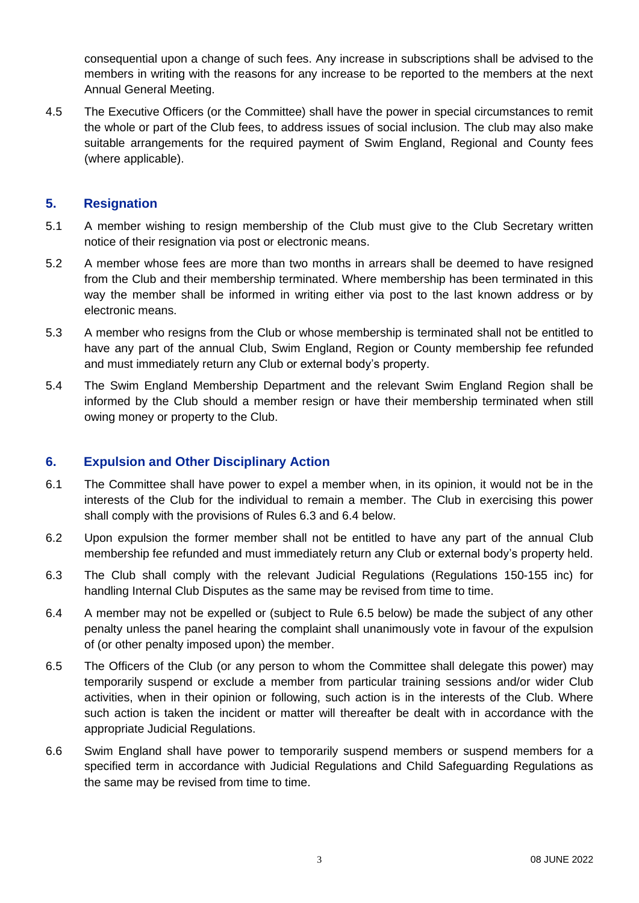consequential upon a change of such fees. Any increase in subscriptions shall be advised to the members in writing with the reasons for any increase to be reported to the members at the next Annual General Meeting.

4.5 The Executive Officers (or the Committee) shall have the power in special circumstances to remit the whole or part of the Club fees, to address issues of social inclusion. The club may also make suitable arrangements for the required payment of Swim England, Regional and County fees (where applicable).

#### **5. Resignation**

- 5.1 A member wishing to resign membership of the Club must give to the Club Secretary written notice of their resignation via post or electronic means.
- 5.2 A member whose fees are more than two months in arrears shall be deemed to have resigned from the Club and their membership terminated. Where membership has been terminated in this way the member shall be informed in writing either via post to the last known address or by electronic means.
- 5.3 A member who resigns from the Club or whose membership is terminated shall not be entitled to have any part of the annual Club, Swim England, Region or County membership fee refunded and must immediately return any Club or external body's property.
- 5.4 The Swim England Membership Department and the relevant Swim England Region shall be informed by the Club should a member resign or have their membership terminated when still owing money or property to the Club.

## **6. Expulsion and Other Disciplinary Action**

- 6.1 The Committee shall have power to expel a member when, in its opinion, it would not be in the interests of the Club for the individual to remain a member. The Club in exercising this power shall comply with the provisions of Rules 6.3 and 6.4 below.
- 6.2 Upon expulsion the former member shall not be entitled to have any part of the annual Club membership fee refunded and must immediately return any Club or external body's property held.
- 6.3 The Club shall comply with the relevant Judicial Regulations (Regulations 150-155 inc) for handling Internal Club Disputes as the same may be revised from time to time.
- 6.4 A member may not be expelled or (subject to Rule 6.5 below) be made the subject of any other penalty unless the panel hearing the complaint shall unanimously vote in favour of the expulsion of (or other penalty imposed upon) the member.
- 6.5 The Officers of the Club (or any person to whom the Committee shall delegate this power) may temporarily suspend or exclude a member from particular training sessions and/or wider Club activities, when in their opinion or following, such action is in the interests of the Club. Where such action is taken the incident or matter will thereafter be dealt with in accordance with the appropriate Judicial Regulations.
- 6.6 Swim England shall have power to temporarily suspend members or suspend members for a specified term in accordance with Judicial Regulations and Child Safeguarding Regulations as the same may be revised from time to time.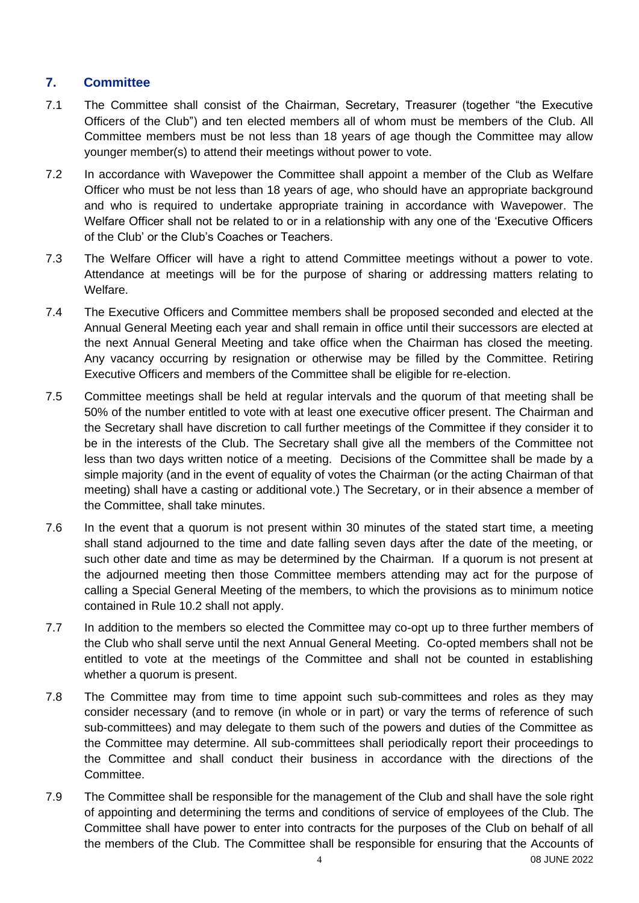# **7. Committee**

- 7.1 The Committee shall consist of the Chairman, Secretary, Treasurer (together "the Executive Officers of the Club") and ten elected members all of whom must be members of the Club. All Committee members must be not less than 18 years of age though the Committee may allow younger member(s) to attend their meetings without power to vote.
- 7.2 In accordance with Wavepower the Committee shall appoint a member of the Club as Welfare Officer who must be not less than 18 years of age, who should have an appropriate background and who is required to undertake appropriate training in accordance with Wavepower. The Welfare Officer shall not be related to or in a relationship with any one of the 'Executive Officers of the Club' or the Club's Coaches or Teachers.
- 7.3 The Welfare Officer will have a right to attend Committee meetings without a power to vote. Attendance at meetings will be for the purpose of sharing or addressing matters relating to Welfare.
- 7.4 The Executive Officers and Committee members shall be proposed seconded and elected at the Annual General Meeting each year and shall remain in office until their successors are elected at the next Annual General Meeting and take office when the Chairman has closed the meeting. Any vacancy occurring by resignation or otherwise may be filled by the Committee. Retiring Executive Officers and members of the Committee shall be eligible for re-election.
- 7.5 Committee meetings shall be held at regular intervals and the quorum of that meeting shall be 50% of the number entitled to vote with at least one executive officer present. The Chairman and the Secretary shall have discretion to call further meetings of the Committee if they consider it to be in the interests of the Club. The Secretary shall give all the members of the Committee not less than two days written notice of a meeting. Decisions of the Committee shall be made by a simple majority (and in the event of equality of votes the Chairman (or the acting Chairman of that meeting) shall have a casting or additional vote.) The Secretary, or in their absence a member of the Committee, shall take minutes.
- 7.6 In the event that a quorum is not present within 30 minutes of the stated start time, a meeting shall stand adjourned to the time and date falling seven days after the date of the meeting, or such other date and time as may be determined by the Chairman. If a quorum is not present at the adjourned meeting then those Committee members attending may act for the purpose of calling a Special General Meeting of the members, to which the provisions as to minimum notice contained in Rule 10.2 shall not apply.
- 7.7 In addition to the members so elected the Committee may co-opt up to three further members of the Club who shall serve until the next Annual General Meeting. Co-opted members shall not be entitled to vote at the meetings of the Committee and shall not be counted in establishing whether a quorum is present.
- 7.8 The Committee may from time to time appoint such sub-committees and roles as they may consider necessary (and to remove (in whole or in part) or vary the terms of reference of such sub-committees) and may delegate to them such of the powers and duties of the Committee as the Committee may determine. All sub-committees shall periodically report their proceedings to the Committee and shall conduct their business in accordance with the directions of the Committee.
- 7.9 The Committee shall be responsible for the management of the Club and shall have the sole right of appointing and determining the terms and conditions of service of employees of the Club. The Committee shall have power to enter into contracts for the purposes of the Club on behalf of all the members of the Club. The Committee shall be responsible for ensuring that the Accounts of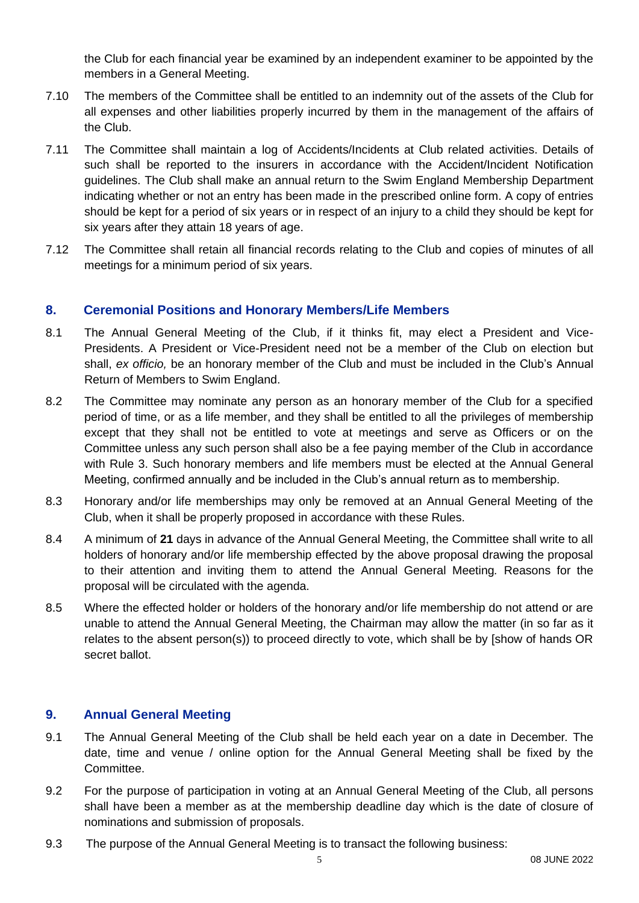the Club for each financial year be examined by an independent examiner to be appointed by the members in a General Meeting.

- 7.10 The members of the Committee shall be entitled to an indemnity out of the assets of the Club for all expenses and other liabilities properly incurred by them in the management of the affairs of the Club.
- 7.11 The Committee shall maintain a log of Accidents/Incidents at Club related activities. Details of such shall be reported to the insurers in accordance with the Accident/Incident Notification guidelines. The Club shall make an annual return to the Swim England Membership Department indicating whether or not an entry has been made in the prescribed online form. A copy of entries should be kept for a period of six years or in respect of an injury to a child they should be kept for six years after they attain 18 years of age.
- 7.12 The Committee shall retain all financial records relating to the Club and copies of minutes of all meetings for a minimum period of six years.

## **8. Ceremonial Positions and Honorary Members/Life Members**

- 8.1 The Annual General Meeting of the Club, if it thinks fit, may elect a President and Vice-Presidents. A President or Vice-President need not be a member of the Club on election but shall, *ex officio,* be an honorary member of the Club and must be included in the Club's Annual Return of Members to Swim England.
- 8.2 The Committee may nominate any person as an honorary member of the Club for a specified period of time, or as a life member, and they shall be entitled to all the privileges of membership except that they shall not be entitled to vote at meetings and serve as Officers or on the Committee unless any such person shall also be a fee paying member of the Club in accordance with Rule 3. Such honorary members and life members must be elected at the Annual General Meeting, confirmed annually and be included in the Club's annual return as to membership.
- 8.3 Honorary and/or life memberships may only be removed at an Annual General Meeting of the Club, when it shall be properly proposed in accordance with these Rules.
- 8.4 A minimum of **21** days in advance of the Annual General Meeting, the Committee shall write to all holders of honorary and/or life membership effected by the above proposal drawing the proposal to their attention and inviting them to attend the Annual General Meeting*.* Reasons for the proposal will be circulated with the agenda.
- 8.5 Where the effected holder or holders of the honorary and/or life membership do not attend or are unable to attend the Annual General Meeting, the Chairman may allow the matter (in so far as it relates to the absent person(s)) to proceed directly to vote, which shall be by [show of hands OR secret ballot.

#### **9. Annual General Meeting**

- 9.1 The Annual General Meeting of the Club shall be held each year on a date in December*.* The date, time and venue / online option for the Annual General Meeting shall be fixed by the Committee.
- 9.2 For the purpose of participation in voting at an Annual General Meeting of the Club, all persons shall have been a member as at the membership deadline day which is the date of closure of nominations and submission of proposals.
- 9.3 The purpose of the Annual General Meeting is to transact the following business: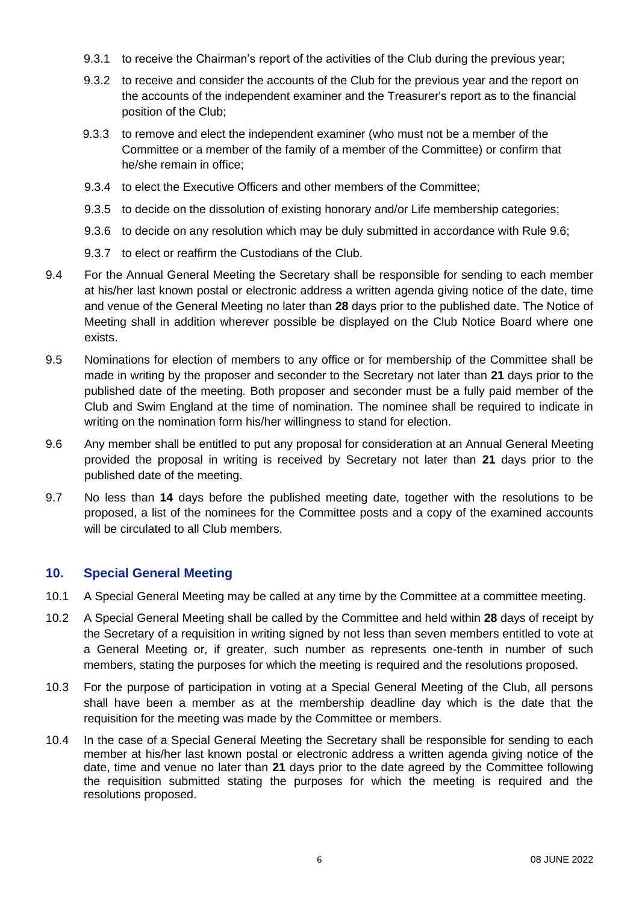- 9.3.1 to receive the Chairman's report of the activities of the Club during the previous year;
- 9.3.2 to receive and consider the accounts of the Club for the previous year and the report on the accounts of the independent examiner and the Treasurer's report as to the financial position of the Club;
- 9.3.3 to remove and elect the independent examiner (who must not be a member of the Committee or a member of the family of a member of the Committee) or confirm that he/she remain in office;
- 9.3.4 to elect the Executive Officers and other members of the Committee;
- 9.3.5 to decide on the dissolution of existing honorary and/or Life membership categories;
- 9.3.6 to decide on any resolution which may be duly submitted in accordance with Rule 9.6;
- 9.3.7 to elect or reaffirm the Custodians of the Club.
- 9.4 For the Annual General Meeting the Secretary shall be responsible for sending to each member at his/her last known postal or electronic address a written agenda giving notice of the date, time and venue of the General Meeting no later than **28** days prior to the published date. The Notice of Meeting shall in addition wherever possible be displayed on the Club Notice Board where one exists.
- 9.5 Nominations for election of members to any office or for membership of the Committee shall be made in writing by the proposer and seconder to the Secretary not later than **21** days prior to the published date of the meeting*.* Both proposer and seconder must be a fully paid member of the Club and Swim England at the time of nomination. The nominee shall be required to indicate in writing on the nomination form his/her willingness to stand for election.
- 9.6 Any member shall be entitled to put any proposal for consideration at an Annual General Meeting provided the proposal in writing is received by Secretary not later than **21** days prior to the published date of the meeting.
- 9.7 No less than **14** days before the published meeting date, together with the resolutions to be proposed, a list of the nominees for the Committee posts and a copy of the examined accounts will be circulated to all Club members.

## **10. Special General Meeting**

- 10.1 A Special General Meeting may be called at any time by the Committee at a committee meeting.
- 10.2 A Special General Meeting shall be called by the Committee and held within **28** days of receipt by the Secretary of a requisition in writing signed by not less than seven members entitled to vote at a General Meeting or, if greater, such number as represents one-tenth in number of such members, stating the purposes for which the meeting is required and the resolutions proposed.
- 10.3 For the purpose of participation in voting at a Special General Meeting of the Club, all persons shall have been a member as at the membership deadline day which is the date that the requisition for the meeting was made by the Committee or members.
- 10.4 In the case of a Special General Meeting the Secretary shall be responsible for sending to each member at his/her last known postal or electronic address a written agenda giving notice of the date, time and venue no later than **21** days prior to the date agreed by the Committee following the requisition submitted stating the purposes for which the meeting is required and the resolutions proposed.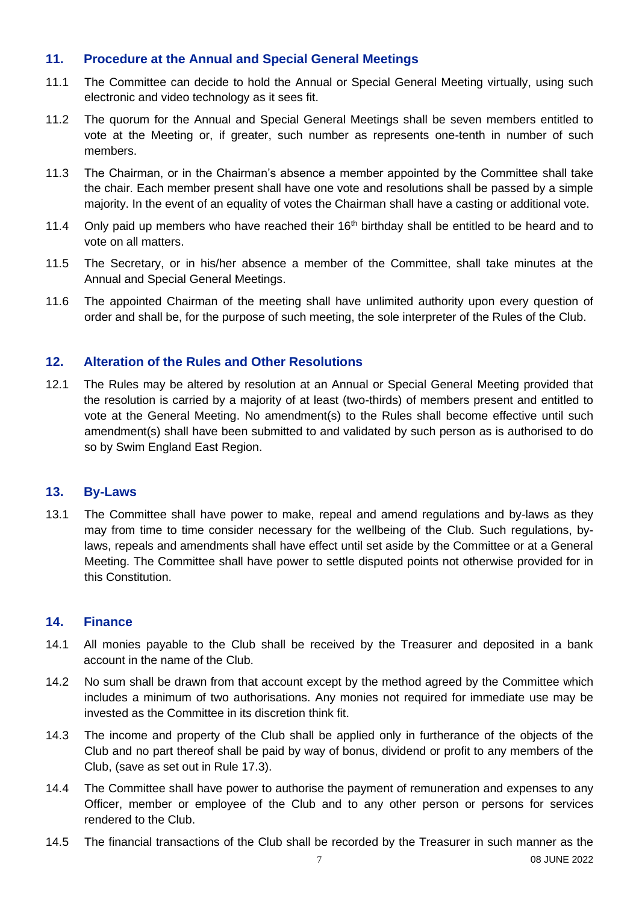# **11. Procedure at the Annual and Special General Meetings**

- 11.1 The Committee can decide to hold the Annual or Special General Meeting virtually, using such electronic and video technology as it sees fit.
- 11.2 The quorum for the Annual and Special General Meetings shall be seven members entitled to vote at the Meeting or, if greater, such number as represents one-tenth in number of such members.
- 11.3 The Chairman, or in the Chairman's absence a member appointed by the Committee shall take the chair. Each member present shall have one vote and resolutions shall be passed by a simple majority. In the event of an equality of votes the Chairman shall have a casting or additional vote.
- 11.4 Only paid up members who have reached their  $16<sup>th</sup>$  birthday shall be entitled to be heard and to vote on all matters.
- 11.5 The Secretary, or in his/her absence a member of the Committee, shall take minutes at the Annual and Special General Meetings.
- 11.6 The appointed Chairman of the meeting shall have unlimited authority upon every question of order and shall be, for the purpose of such meeting, the sole interpreter of the Rules of the Club.

# **12. Alteration of the Rules and Other Resolutions**

12.1 The Rules may be altered by resolution at an Annual or Special General Meeting provided that the resolution is carried by a majority of at least (two-thirds) of members present and entitled to vote at the General Meeting. No amendment(s) to the Rules shall become effective until such amendment(s) shall have been submitted to and validated by such person as is authorised to do so by Swim England East Region.

## **13. By-Laws**

13.1 The Committee shall have power to make, repeal and amend regulations and by-laws as they may from time to time consider necessary for the wellbeing of the Club. Such regulations, bylaws, repeals and amendments shall have effect until set aside by the Committee or at a General Meeting. The Committee shall have power to settle disputed points not otherwise provided for in this Constitution.

## **14. Finance**

- 14.1 All monies payable to the Club shall be received by the Treasurer and deposited in a bank account in the name of the Club.
- 14.2 No sum shall be drawn from that account except by the method agreed by the Committee which includes a minimum of two authorisations. Any monies not required for immediate use may be invested as the Committee in its discretion think fit.
- 14.3 The income and property of the Club shall be applied only in furtherance of the objects of the Club and no part thereof shall be paid by way of bonus, dividend or profit to any members of the Club, (save as set out in Rule 17.3).
- 14.4 The Committee shall have power to authorise the payment of remuneration and expenses to any Officer, member or employee of the Club and to any other person or persons for services rendered to the Club.
- 14.5 The financial transactions of the Club shall be recorded by the Treasurer in such manner as the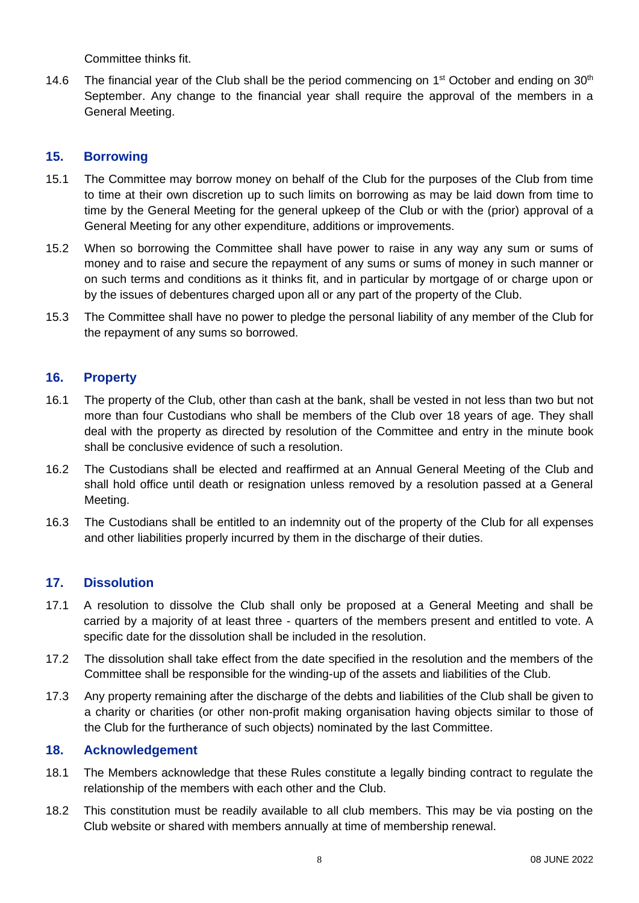Committee thinks fit.

14.6 The financial year of the Club shall be the period commencing on  $1<sup>st</sup>$  October and ending on  $30<sup>th</sup>$ September. Any change to the financial year shall require the approval of the members in a General Meeting.

# **15. Borrowing**

- 15.1 The Committee may borrow money on behalf of the Club for the purposes of the Club from time to time at their own discretion up to such limits on borrowing as may be laid down from time to time by the General Meeting for the general upkeep of the Club or with the (prior) approval of a General Meeting for any other expenditure, additions or improvements.
- 15.2 When so borrowing the Committee shall have power to raise in any way any sum or sums of money and to raise and secure the repayment of any sums or sums of money in such manner or on such terms and conditions as it thinks fit, and in particular by mortgage of or charge upon or by the issues of debentures charged upon all or any part of the property of the Club.
- 15.3 The Committee shall have no power to pledge the personal liability of any member of the Club for the repayment of any sums so borrowed.

# **16. Property**

- 16.1 The property of the Club, other than cash at the bank, shall be vested in not less than two but not more than four Custodians who shall be members of the Club over 18 years of age. They shall deal with the property as directed by resolution of the Committee and entry in the minute book shall be conclusive evidence of such a resolution.
- 16.2 The Custodians shall be elected and reaffirmed at an Annual General Meeting of the Club and shall hold office until death or resignation unless removed by a resolution passed at a General Meeting.
- 16.3 The Custodians shall be entitled to an indemnity out of the property of the Club for all expenses and other liabilities properly incurred by them in the discharge of their duties.

## **17. Dissolution**

- 17.1 A resolution to dissolve the Club shall only be proposed at a General Meeting and shall be carried by a majority of at least three - quarters of the members present and entitled to vote. A specific date for the dissolution shall be included in the resolution.
- 17.2 The dissolution shall take effect from the date specified in the resolution and the members of the Committee shall be responsible for the winding-up of the assets and liabilities of the Club.
- 17.3 Any property remaining after the discharge of the debts and liabilities of the Club shall be given to a charity or charities (or other non-profit making organisation having objects similar to those of the Club for the furtherance of such objects) nominated by the last Committee.

#### **18. Acknowledgement**

- 18.1 The Members acknowledge that these Rules constitute a legally binding contract to regulate the relationship of the members with each other and the Club.
- 18.2 This constitution must be readily available to all club members. This may be via posting on the Club website or shared with members annually at time of membership renewal.